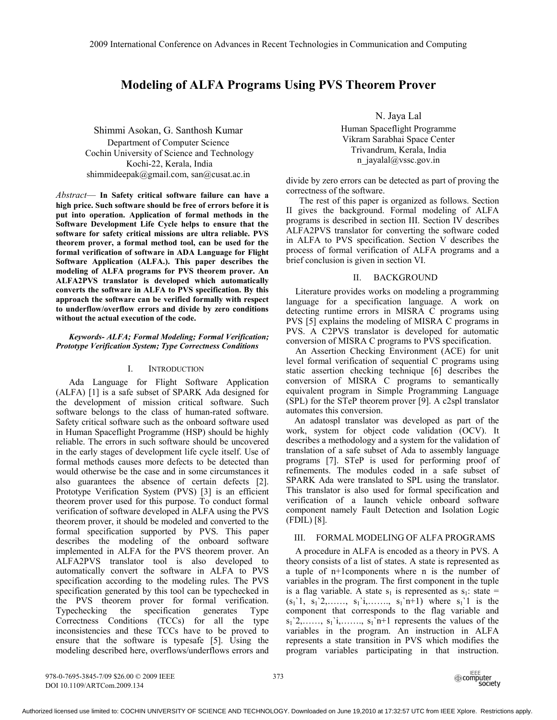# **Modeling of ALFA Programs Using PVS Theorem Prover**

Shimmi Asokan, G. Santhosh Kumar Department of Computer Science Cochin University of Science and Technology Kochi-22, Kerala, India shimmideepak@gmail.com, san@cusat.ac.in

*Abstract*— **In Safety critical software failure can have a high price. Such software should be free of errors before it is put into operation. Application of formal methods in the Software Development Life Cycle helps to ensure that the software for safety critical missions are ultra reliable. PVS theorem prover, a formal method tool, can be used for the formal verification of software in ADA Language for Flight Software Application (ALFA.). This paper describes the modeling of ALFA programs for PVS theorem prover. An ALFA2PVS translator is developed which automatically converts the software in ALFA to PVS specification. By this approach the software can be verified formally with respect to underflow/overflow errors and divide by zero conditions without the actual execution of the code.** 

## *Keywords- ALFA; Formal Modeling; Formal Verification; Prototype Verification System; Type Correctness Conditions*

## I. INTRODUCTION

Ada Language for Flight Software Application (ALFA) [1] is a safe subset of SPARK Ada designed for the development of mission critical software. Such software belongs to the class of human-rated software. Safety critical software such as the onboard software used in Human Spaceflight Programme (HSP) should be highly reliable. The errors in such software should be uncovered in the early stages of development life cycle itself. Use of formal methods causes more defects to be detected than would otherwise be the case and in some circumstances it also guarantees the absence of certain defects [2]. Prototype Verification System (PVS) [3] is an efficient theorem prover used for this purpose. To conduct formal verification of software developed in ALFA using the PVS theorem prover, it should be modeled and converted to the formal specification supported by PVS. This paper describes the modeling of the onboard software implemented in ALFA for the PVS theorem prover. An ALFA2PVS translator tool is also developed to automatically convert the software in ALFA to PVS specification according to the modeling rules. The PVS specification generated by this tool can be typechecked in the PVS theorem prover for formal verification. Typechecking the specification generates Type Correctness Conditions (TCCs) for all the type inconsistencies and these TCCs have to be proved to ensure that the software is typesafe [5]. Using the modeling described here, overflows/underflows errors and

N. Jaya Lal

Human Spaceflight Programme Vikram Sarabhai Space Center Trivandrum, Kerala, India n\_jayalal@vssc.gov.in

divide by zero errors can be detected as part of proving the correctness of the software.

The rest of this paper is organized as follows. Section II gives the background. Formal modeling of ALFA programs is described in section III. Section IV describes ALFA2PVS translator for converting the software coded in ALFA to PVS specification. Section V describes the process of formal verification of ALFA programs and a brief conclusion is given in section VI.

## II. BACKGROUND

 Literature provides works on modeling a programming language for a specification language. A work on detecting runtime errors in MISRA C programs using PVS [5] explains the modeling of MISRA C programs in PVS. A C2PVS translator is developed for automatic conversion of MISRA C programs to PVS specification.

 An Assertion Checking Environment (ACE) for unit level formal verification of sequential C programs using static assertion checking technique [6] describes the conversion of MISRA C programs to semantically equivalent program in Simple Programming Language (SPL) for the STeP theorem prover [9]. A c2spl translator automates this conversion.

An adatospl translator was developed as part of the work, system for object code validation (OCV). It describes a methodology and a system for the validation of translation of a safe subset of Ada to assembly language programs [7]. STeP is used for performing proof of refinements. The modules coded in a safe subset of SPARK Ada were translated to SPL using the translator. This translator is also used for formal specification and verification of a launch vehicle onboard software component namely Fault Detection and Isolation Logic (FDIL) [8].

## III. FORMAL MODELING OF ALFA PROGRAMS

 A procedure in ALFA is encoded as a theory in PVS. A theory consists of a list of states. A state is represented as a tuple of n+1components where n is the number of variables in the program. The first component in the tuple is a flag variable. A state  $s_1$  is represented as  $s_1$ : state =  $(s_1'1, s_1'2, \ldots, s_1'i, \ldots, s_1'n+1)$  where  $s_1'1$  is the component that corresponds to the flag variable and  $s_1$ '2,……,  $s_1$ 'i,……,  $s_1$ 'n+1 represents the values of the variables in the program. An instruction in ALFA represents a state transition in PVS which modifies the program variables participating in that instruction.

978-0-7695-3845-7/09 \$26.00 © 2009 IEEE 373 DOI 10.1109/ARTCom.2009.134

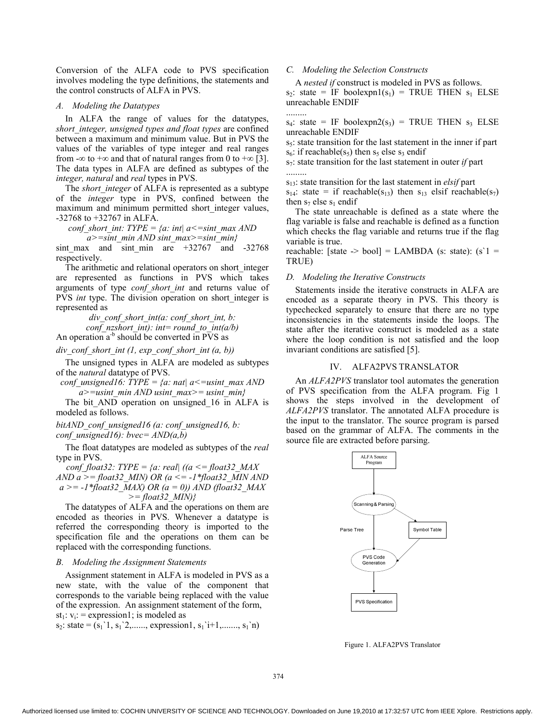Conversion of the ALFA code to PVS specification involves modeling the type definitions, the statements and the control constructs of ALFA in PVS.

## *A. Modeling the Datatypes*

 In ALFA the range of values for the datatypes, *short\_integer, unsigned types and float types* are confined between a maximum and minimum value. But in PVS the values of the variables of type integer and real ranges from -∞ to +∞ and that of natural ranges from 0 to +∞ [3]. The data types in ALFA are defined as subtypes of the *integer, natural* and *real* types in PVS.

The *short* integer of ALFA is represented as a subtype of the *integer* type in PVS, confined between the maximum and minimum permitted short integer values, -32768 to +32767 in ALFA.

*conf\_short\_int: TYPE = {a: int| a<=sint\_max AND* 

*a>=sint\_min AND sint\_max>=sint\_min}*  sint max and sint min are  $+32767$  and  $-32768$ 

respectively.

 The arithmetic and relational operators on short\_integer are represented as functions in PVS which takes arguments of type *conf\_short\_int* and returns value of PVS *int* type. The division operation on short integer is represented as

> *div\_conf\_short\_int(a: conf\_short\_int, b: conf\_nzshort\_int): int= round\_to\_int(a/b)*

An operation  $a^{-b}$  should be converted in PVS as

*div\_conf\_short\_int (1, exp\_conf\_short\_int (a, b))* 

 The unsigned types in ALFA are modeled as subtypes of the *natural* datatype of PVS.

*conf* unsigned16: TYPE = {a: nat|  $a \le$  = usint\_max AND *a>=usint\_min AND usint\_max>= usint\_min}* 

The bit AND operation on unsigned 16 in ALFA is modeled as follows.

*bitAND\_conf\_unsigned16 (a: conf\_unsigned16, b: conf\_unsigned16): bvec= AND(a,b)* 

 The float datatypes are modeled as subtypes of the *real* type in PVS.

*conf* float32: TYPE = {a: real| ((a  $\leq$  = float32 MAX) *AND a >= float32\_MIN) OR (a <= -1\*float32\_MIN AND a >= -1\*float32\_MAX) OR (a = 0)) AND (float32\_MAX >= float32\_MIN)}* 

 The datatypes of ALFA and the operations on them are encoded as theories in PVS. Whenever a datatype is referred the corresponding theory is imported to the specification file and the operations on them can be replaced with the corresponding functions.

#### *B. Modeling the Assignment Statements*

 Assignment statement in ALFA is modeled in PVS as a new state, with the value of the component that corresponds to the variable being replaced with the value of the expression. An assignment statement of the form, st<sub>1</sub>:  $v_i$ : = expression1; is modeled as

 $s_2$ : state =  $(s_1, s_1, s_2, \ldots,$  expression1,  $s_1, s_1, \ldots, s_1, s_1)$ 

## *C. Modeling the Selection Constructs*

A *nested if* construct is modeled in PVS as follows.

 $s_2$ : state = IF boolexpn1( $s_1$ ) = TRUE THEN  $s_1$  ELSE unreachable ENDIF .........

 $s_4$ : state = IF boolexpn2( $s_3$ ) = TRUE THEN  $s_3$  ELSE unreachable ENDIF

s<sub>5</sub>: state transition for the last statement in the inner if part  $s_6$ : if reachable( $s_5$ ) then  $s_5$  else  $s_3$  endif

 $s_7$ : state transition for the last statement in outer *if* part .........

s13: state transition for the last statement in *elsif* part

 $s_{14}$ : state = if reachable( $s_{13}$ ) then  $s_{13}$  elsif reachable( $s_{7}$ ) then  $s_7$  else  $s_1$  endif

 The state unreachable is defined as a state where the flag variable is false and reachable is defined as a function which checks the flag variable and returns true if the flag variable is true.

reachable: [state  $\rightarrow$  bool] = LAMBDA (s: state): (s'1 = TRUE)

### *D. Modeling the Iterative Constructs*

 Statements inside the iterative constructs in ALFA are encoded as a separate theory in PVS. This theory is typechecked separately to ensure that there are no type inconsistencies in the statements inside the loops. The state after the iterative construct is modeled as a state where the loop condition is not satisfied and the loop invariant conditions are satisfied [5].

## IV. ALFA2PVS TRANSLATOR

 An *ALFA2PVS* translator tool automates the generation of PVS specification from the ALFA program. Fig 1 shows the steps involved in the development of *ALFA2PVS* translator. The annotated ALFA procedure is the input to the translator. The source program is parsed based on the grammar of ALFA. The comments in the source file are extracted before parsing.



Figure 1. ALFA2PVS Translator